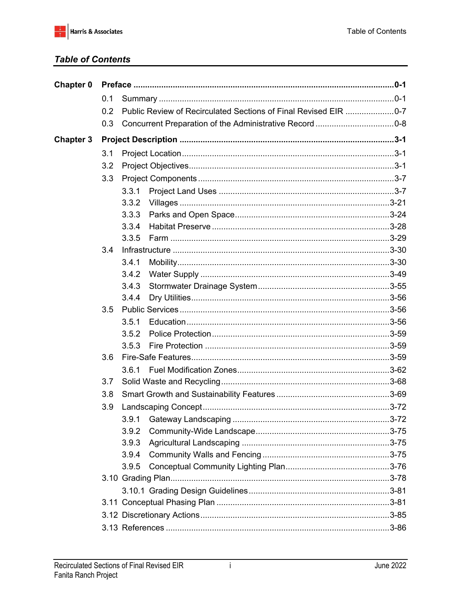## **Table of Contents**

| Chapter 0        |     |       |  |  |  |  |  |
|------------------|-----|-------|--|--|--|--|--|
|                  | 0.1 |       |  |  |  |  |  |
|                  | 0.2 |       |  |  |  |  |  |
|                  | 0.3 |       |  |  |  |  |  |
| <b>Chapter 3</b> |     |       |  |  |  |  |  |
|                  | 3.1 |       |  |  |  |  |  |
|                  | 3.2 |       |  |  |  |  |  |
|                  | 3.3 |       |  |  |  |  |  |
|                  |     | 3.3.1 |  |  |  |  |  |
|                  |     | 3.3.2 |  |  |  |  |  |
|                  |     | 3.3.3 |  |  |  |  |  |
|                  |     | 3.3.4 |  |  |  |  |  |
|                  |     | 3.3.5 |  |  |  |  |  |
|                  | 3.4 |       |  |  |  |  |  |
|                  |     | 3.4.1 |  |  |  |  |  |
|                  |     | 3.4.2 |  |  |  |  |  |
|                  |     | 3.4.3 |  |  |  |  |  |
|                  |     | 3.4.4 |  |  |  |  |  |
|                  | 3.5 |       |  |  |  |  |  |
|                  |     | 3.5.1 |  |  |  |  |  |
|                  |     | 3.5.2 |  |  |  |  |  |
|                  |     | 3.5.3 |  |  |  |  |  |
|                  | 3.6 |       |  |  |  |  |  |
|                  |     | 3.6.1 |  |  |  |  |  |
|                  | 3.7 |       |  |  |  |  |  |
|                  | 3.8 |       |  |  |  |  |  |
|                  | 3.9 |       |  |  |  |  |  |
|                  |     | 3.9.1 |  |  |  |  |  |
|                  |     | 3.9.2 |  |  |  |  |  |
|                  |     | 3.9.3 |  |  |  |  |  |
|                  |     | 3.9.4 |  |  |  |  |  |
|                  |     | 3.9.5 |  |  |  |  |  |
|                  |     |       |  |  |  |  |  |
|                  |     |       |  |  |  |  |  |
|                  |     |       |  |  |  |  |  |
|                  |     |       |  |  |  |  |  |
|                  |     |       |  |  |  |  |  |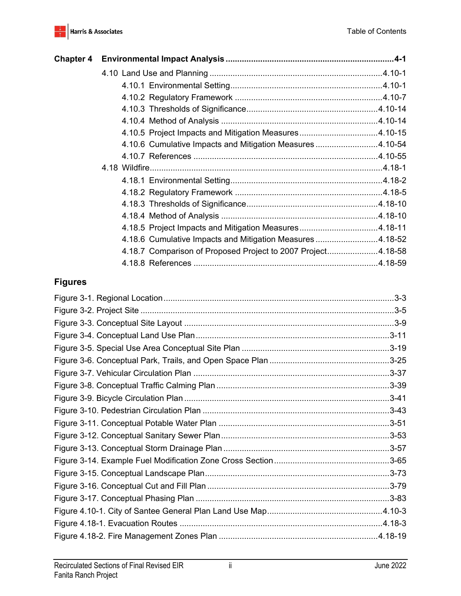

| <b>Chapter 4</b> |                                                              |  |
|------------------|--------------------------------------------------------------|--|
|                  |                                                              |  |
|                  |                                                              |  |
|                  |                                                              |  |
|                  |                                                              |  |
|                  |                                                              |  |
|                  | 4.10.5 Project Impacts and Mitigation Measures4.10-15        |  |
|                  | 4.10.6 Cumulative Impacts and Mitigation Measures 4.10-54    |  |
|                  |                                                              |  |
|                  |                                                              |  |
|                  |                                                              |  |
|                  |                                                              |  |
|                  |                                                              |  |
|                  |                                                              |  |
|                  | 4.18.5 Project Impacts and Mitigation Measures4.18-11        |  |
|                  | 4.18.6 Cumulative Impacts and Mitigation Measures 4.18-52    |  |
|                  | 4.18.7 Comparison of Proposed Project to 2007 Project4.18-58 |  |
|                  |                                                              |  |

## **Figures**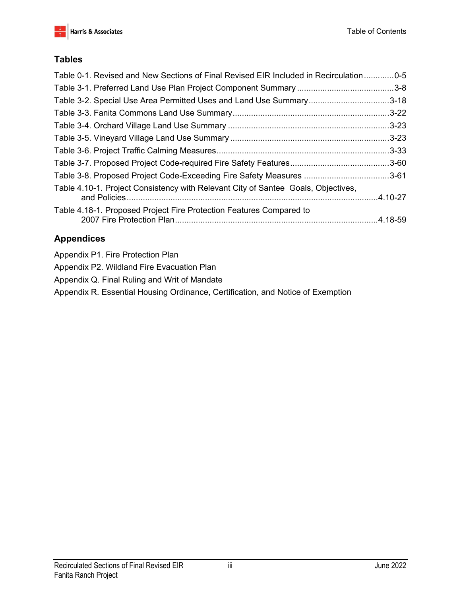

## **Tables**

| Table 0-1. Revised and New Sections of Final Revised EIR Included in Recirculation0-5 |  |
|---------------------------------------------------------------------------------------|--|
|                                                                                       |  |
| Table 3-2. Special Use Area Permitted Uses and Land Use Summary3-18                   |  |
|                                                                                       |  |
|                                                                                       |  |
|                                                                                       |  |
|                                                                                       |  |
|                                                                                       |  |
| Table 3-8. Proposed Project Code-Exceeding Fire Safety Measures 3-61                  |  |
| Table 4.10-1. Project Consistency with Relevant City of Santee Goals, Objectives,     |  |
| Table 4.18-1. Proposed Project Fire Protection Features Compared to                   |  |

## **Appendices**

|  | Appendix P1. Fire Protection Plan |  |
|--|-----------------------------------|--|

- Appendix P2. Wildland Fire Evacuation Plan
- Appendix Q. Final Ruling and Writ of Mandate
- Appendix R. Essential Housing Ordinance, Certification, and Notice of Exemption